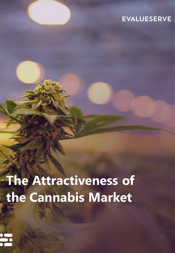## **EVALUESERVE**

# **The Attractiveness of the Cannabis Market**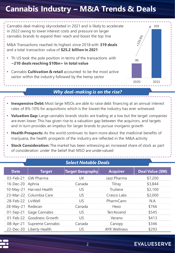# **Cannabis Industry – M&A Trends & Deals**



#### *Why deal-making is on the rise?*

- **Inexpensive Debt:** Most large MSOs are able to raise debt financing at an annual interest rates of 8%-10% for acquisitions which is the lowest the industry has ever witnessed
- **Valuation Gap:** Large cannabis brands stocks are trading at a low but the target companies are even lower. This has given rise to a valuation gap between the acquirors, and targets and in-turn provides an impetus for larger brands to pursue inorganic growth
- **Health Prospects:** As the world continues to learn more about the medicinal benefits of marijuana, the health prospects of the industry are reflected in the M&A activity
- **Stock Consideration:** The market has been witnessing an increased share of stock as part of consideration under the belief that MSO are undervalued

| <b>Select Notable Deals</b> |                            |                         |                     |                  |
|-----------------------------|----------------------------|-------------------------|---------------------|------------------|
| <b>Date</b>                 | <b>Target</b>              | <b>Target Geography</b> | <b>Acquirer</b>     | Deal Value (\$M) |
|                             | 03-Feb-21 GW Pharma        | UK                      | Jazz Pharma         | \$7,200          |
| 16-Dec-20 Aphria            |                            | Canada                  | Tilray              | \$3,844          |
|                             | 10-May-21 Harvest Health   | US                      | Trulieve            | \$2,100          |
|                             | 23-Mar-22 Columbia Care    | US.                     | Cresco Labs         | \$2,000          |
| 28-Feb-22 LivWell           |                            | US                      | PharmCann           | N.A.             |
| 28-May-21 Redecan           |                            | Canada                  | Hexo                | \$766            |
|                             | 01-Sep-21 Gage Cannabis    | <b>US</b>               | <b>TerrAscend</b>   | \$545            |
|                             | 01-Feb-22 Goodness Growth  | US                      | Verano              | \$413            |
|                             | 08-Apr-21 Supreme Cannabis | Canada                  | Canopy              | \$346            |
|                             | 22-Dec-20 Liberty Health   | <b>US</b>               | <b>AYR Wellness</b> | \$293            |



### **EVALUESERVE**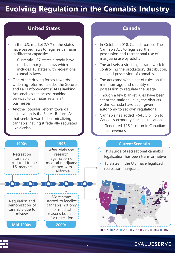# **Evolving Regulation in the Cannabis Industry**

#### **United States Canada**

- In the U.S. market  $2/3^{rd}$  of the states have passed laws to legalize cannabis in different capacities
	- Currently ~37 states already have medical marijuana laws which includes 18 states with recreational cannabis laws
- One of the driving forces towards widening reforms includes the Secure and Fair Enforcement (SAFE) Banking Act, enables the access banking services to cannabis retailers/ businesses
- Another popular reform towards legalization is the States Reform Act, that seeks towards decriminalizing cannabis, having it federally regulated like alcohol

**1900s**

- In October, 2018, Canada passed The Cannabis Act to legalized the possession and recreational use of marijuana use by adults
- The act sets a strict legal framework for controlling the production, distribution, sale and possession of cannabis
- The act came with a set of rules on the minimum age and quantity of possession to regulate the usage
- Though a few blanket rules have been set at the national level, the districts within Canada have been given autonomy to set own regulations
- Cannabis has added  $\sim$  \$43.5 billion to Canada's economy since legalization
	- ― Generated \$15.1 billion in Canadian tax revenues

#### **Current Scenario**



**1996**

- This surge of recreational cannabis legalization has been transformative
- 18 states in the U.S. have legalized recreation marijuana



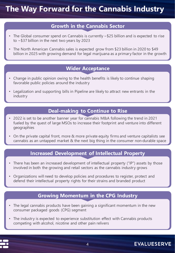# **The Way Forward for the Cannabis Industry**

#### **Growth in the Cannabis Sector**

- The Global consumer spend on Cannabis is currently  $\sim$  \$25 billion and is expected to rise to ~\$37 billion in the next two years by 2023
- The North American Cannabis sales is expected grow from \$23 billion in 2020 to \$49 billion in 2025 with growing demand for legal marijuana as a primary factor in the growth

#### **Wider Acceptance**

- Change in public opinion owing to the health benefits is likely to continue shaping favorable public policies around the industry
- Legalization and supporting bills in Pipeline are likely to attract new entrants in the industry

#### **Deal-making to Continue to Rise**

- 2022 is set to be another banner year for cannabis M&A following the trend in 2021 fueled by the quest of large MSOs to increase their footprint and venture into different geographies
- On the private capital front, more & more private equity firms and venture capitalists see cannabis as an untapped market & the next big thing in the consumer non-durable space

#### **Increased Development of Intellectual Property**

- There has been an increased development of intellectual property ("IP") assets by those involved in both the growing and retail sectors as the cannabis industry grows
- Organizations will need to develop policies and procedures to register, protect and defend their intellectual property rights for their strains and branded product

#### **Growing Momentum in the CPG Industry**

- The legal cannabis products have been gaining a significant momentum in the new consumer packaged goods (CPG) segment
- The industry is expected to experience substitution effect with Cannabis products competing with alcohol, nicotine and other pain relivers